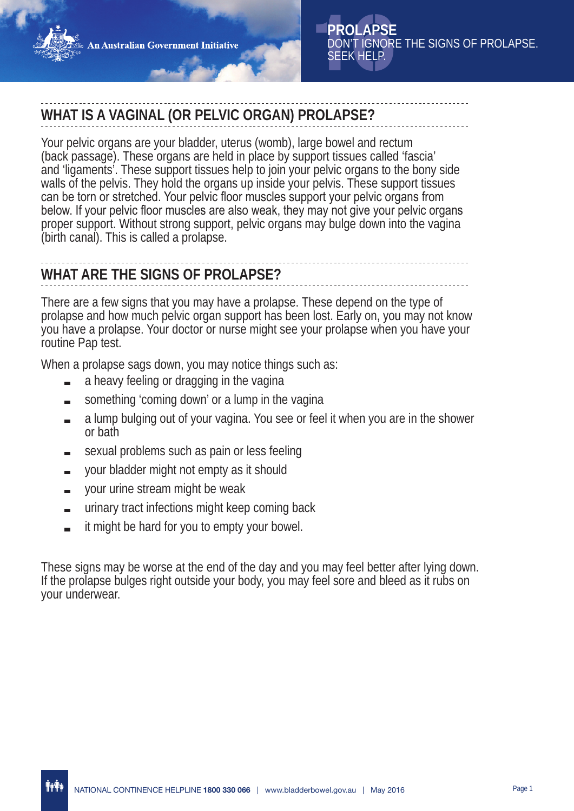# **WHAT IS A VAGINAL (OR PELVIC ORGAN) PROLAPSE?**

Your pelvic organs are your bladder, uterus (womb), large bowel and rectum (back passage). These organs are held in place by support tissues called 'fascia' and 'ligaments'. These support tissues help to join your pelvic organs to the bony side walls of the pelvis. They hold the organs up inside your pelvis. These support tissues can be torn or stretched. Your pelvic floor muscles support your pelvic organs from below. If your pelvic floor muscles are also weak, they may not give your pelvic organs proper support. Without strong support, pelvic organs may bulge down into the vagina (birth canal). This is called a prolapse.

# **WHAT ARE THE SIGNS OF PROLAPSE?**

There are a few signs that you may have a prolapse. These depend on the type of prolapse and how much pelvic organ support has been lost. Early on, you may not know you have a prolapse. Your doctor or nurse might see your prolapse when you have your routine Pap test.

When a prolapse sags down, you may notice things such as:

- a heavy feeling or dragging in the vagina
- something 'coming down' or a lump in the vagina
- a lump bulging out of your vagina. You see or feel it when you are in the shower or bath
- sexual problems such as pain or less feeling
- your bladder might not empty as it should
- your urine stream might be weak  $\blacksquare$
- urinary tract infections might keep coming back
- it might be hard for you to empty your bowel.

These signs may be worse at the end of the day and you may feel better after lying down. If the prolapse bulges right outside your body, you may feel sore and bleed as it rubs on your underwear.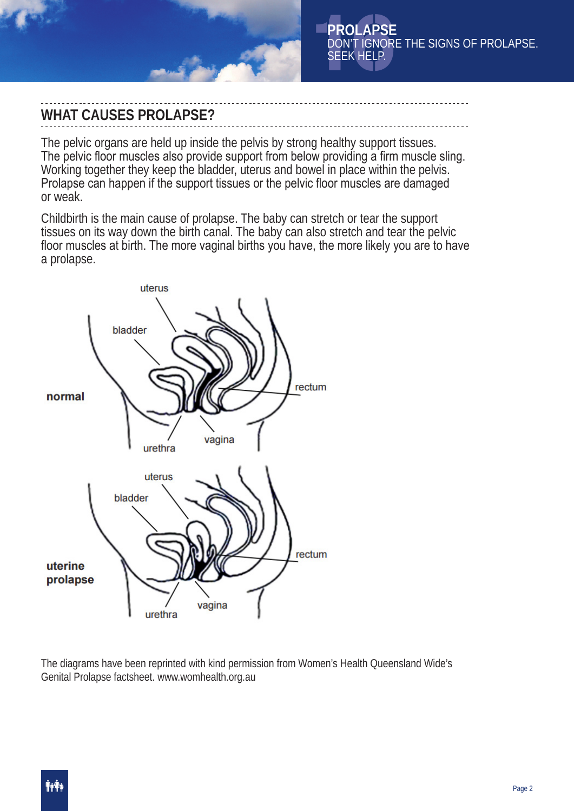

## **WHAT CAUSES PROLAPSE?**

The pelvic organs are held up inside the pelvis by strong healthy support tissues. The pelvic floor muscles also provide support from below providing a firm muscle sling. Working together they keep the bladder, uterus and bowel in place within the pelvis. Prolapse can happen if the support tissues or the pelvic floor muscles are damaged or weak.

Childbirth is the main cause of prolapse. The baby can stretch or tear the support tissues on its way down the birth canal. The baby can also stretch and tear the pelvic floor muscles at birth. The more vaginal births you have, the more likely you are to have a prolapse.



The diagrams have been reprinted with kind permission from Women's Health Queensland Wide's Genital Prolapse factsheet. www.womhealth.org.au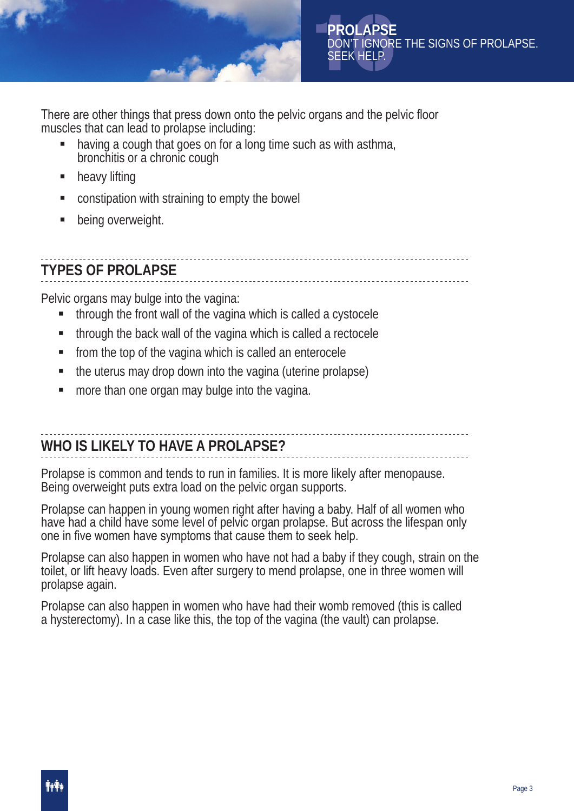

There are other things that press down onto the pelvic organs and the pelvic floor muscles that can lead to prolapse including:

- having a cough that goes on for a long time such as with asthma, bronchitis or a chronic cough
- **heavy lifting**
- constipation with straining to empty the bowel
- being overweight.

# **TYPES OF PROLAPSE**

Pelvic organs may bulge into the vagina:

- through the front wall of the vagina which is called a cystocele
- **through the back wall of the vagina which is called a rectocele**
- from the top of the vagina which is called an enterocele
- the uterus may drop down into the vagina (uterine prolapse)
- **nore than one organ may bulge into the vagina.**

# **WHO IS LIKELY TO HAVE A PROLAPSE?**

Prolapse is common and tends to run in families. It is more likely after menopause. Being overweight puts extra load on the pelvic organ supports.

Prolapse can happen in young women right after having a baby. Half of all women who have had a child have some level of pelvic organ prolapse. But across the lifespan only one in five women have symptoms that cause them to seek help.

Prolapse can also happen in women who have not had a baby if they cough, strain on the toilet, or lift heavy loads. Even after surgery to mend prolapse, one in three women will prolapse again.

Prolapse can also happen in women who have had their womb removed (this is called a hysterectomy). In a case like this, the top of the vagina (the vault) can prolapse.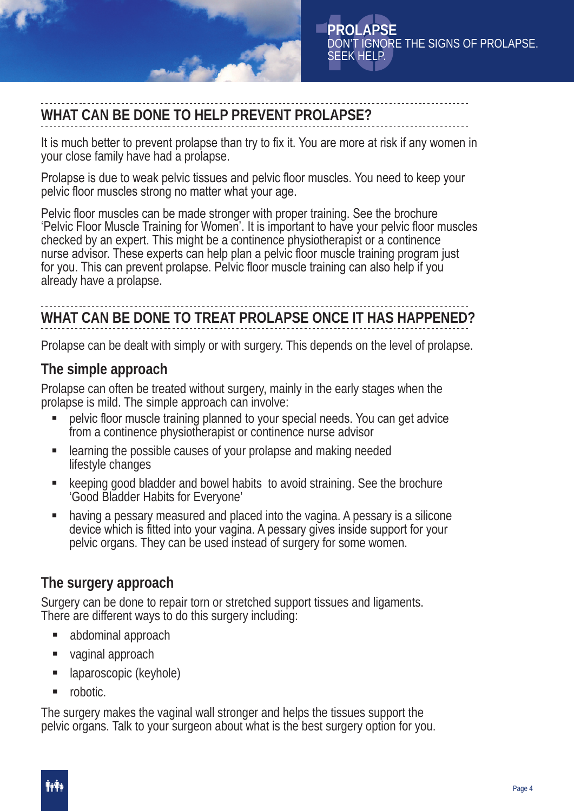

# **WHAT CAN BE DONE TO HELP PREVENT PROLAPSE?**

It is much better to prevent prolapse than try to fix it. You are more at risk if any women in your close family have had a prolapse.

Prolapse is due to weak pelvic tissues and pelvic floor muscles. You need to keep your pelvic floor muscles strong no matter what your age.

Pelvic floor muscles can be made stronger with proper training. See the brochure 'Pelvic Floor Muscle Training for Women'. It is important to have your pelvic floor muscles checked by an expert. This might be a continence physiotherapist or a continence nurse advisor. These experts can help plan a pelvic floor muscle training program just for you. This can prevent prolapse. Pelvic floor muscle training can also help if you already have a prolapse.

# **WHAT CAN BE DONE TO TREAT PROLAPSE ONCE IT HAS HAPPENED?**

Prolapse can be dealt with simply or with surgery. This depends on the level of prolapse.

## **The simple approach**

Prolapse can often be treated without surgery, mainly in the early stages when the prolapse is mild. The simple approach can involve:

- pelvic floor muscle training planned to your special needs. You can get advice from a continence physiotherapist or continence nurse advisor
- **EXECUTE:** learning the possible causes of your prolapse and making needed lifestyle changes
- keeping good bladder and bowel habits to avoid straining. See the brochure 'Good Bladder Habits for Everyone'
- having a pessary measured and placed into the vagina. A pessary is a silicone device which is fitted into your vagina. A pessary gives inside support for your pelvic organs. They can be used instead of surgery for some women.

## **The surgery approach**

Surgery can be done to repair torn or stretched support tissues and ligaments. There are different ways to do this surgery including:

- abdominal approach
- vaginal approach
- laparoscopic (keyhole)
- **n** robotic.

The surgery makes the vaginal wall stronger and helps the tissues support the pelvic organs. Talk to your surgeon about what is the best surgery option for you.